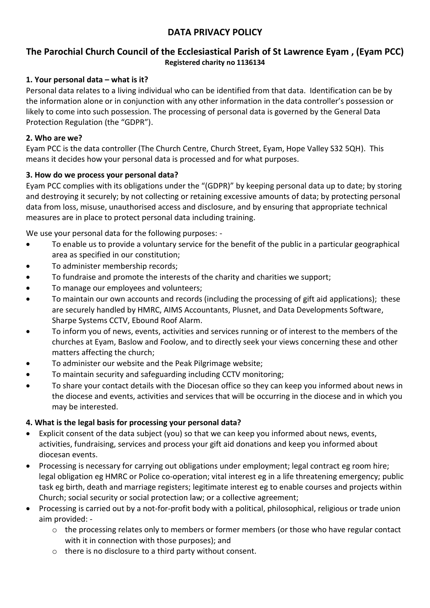# **DATA PRIVACY POLICY**

# **The Parochial Church Council of the Ecclesiastical Parish of St Lawrence Eyam , (Eyam PCC) Registered charity no 1136134**

### **1. Your personal data – what is it?**

Personal data relates to a living individual who can be identified from that data. Identification can be by the information alone or in conjunction with any other information in the data controller's possession or likely to come into such possession. The processing of personal data is governed by the General Data Protection Regulation (the "GDPR").

### **2. Who are we?**

Eyam PCC is the data controller (The Church Centre, Church Street, Eyam, Hope Valley S32 5QH). This means it decides how your personal data is processed and for what purposes.

### **3. How do we process your personal data?**

Eyam PCC complies with its obligations under the "(GDPR)" by keeping personal data up to date; by storing and destroying it securely; by not collecting or retaining excessive amounts of data; by protecting personal data from loss, misuse, unauthorised access and disclosure, and by ensuring that appropriate technical measures are in place to protect personal data including training.

We use your personal data for the following purposes: -

- To enable us to provide a voluntary service for the benefit of the public in a particular geographical area as specified in our constitution;
- To administer membership records;
- To fundraise and promote the interests of the charity and charities we support;
- To manage our employees and volunteers;
- To maintain our own accounts and records (including the processing of gift aid applications); these are securely handled by HMRC, AIMS Accountants, Plusnet, and Data Developments Software, Sharpe Systems CCTV, Ebound Roof Alarm.
- To inform you of news, events, activities and services running or of interest to the members of the churches at Eyam, Baslow and Foolow, and to directly seek your views concerning these and other matters affecting the church;
- To administer our website and the Peak Pilgrimage website;
- To maintain security and safeguarding including CCTV monitoring;
- To share your contact details with the Diocesan office so they can keep you informed about news in the diocese and events, activities and services that will be occurring in the diocese and in which you may be interested.

#### **4. What is the legal basis for processing your personal data?**

- Explicit consent of the data subject (you) so that we can keep you informed about news, events, activities, fundraising, services and process your gift aid donations and keep you informed about diocesan events.
- Processing is necessary for carrying out obligations under employment; legal contract eg room hire; legal obligation eg HMRC or Police co-operation; vital interest eg in a life threatening emergency; public task eg birth, death and marriage registers; legitimate interest eg to enable courses and projects within Church; social security or social protection law; or a collective agreement;
- Processing is carried out by a not-for-profit body with a political, philosophical, religious or trade union aim provided:
	- o the processing relates only to members or former members (or those who have regular contact with it in connection with those purposes); and
	- o there is no disclosure to a third party without consent.